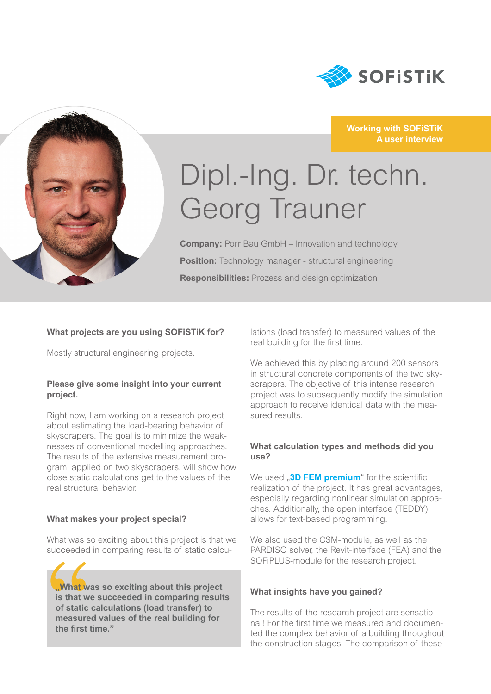

**Working with SOFiSTiK** 

**A user interview**



# Dipl.-Ing. Dr. techn. Georg Trauner

**Company:** Porr Bau GmbH – Innovation and technology **Position:** Technology manager - structural engineering **Responsibilities:** Prozess and design optimization

# **What projects are you using SOFiSTiK for?**

Mostly structural engineering projects.

#### **Please give some insight into your current project.**

Right now, I am working on a research project about estimating the load-bearing behavior of skyscrapers. The goal is to minimize the weaknesses of conventional modelling approaches. The results of the extensive measurement program, applied on two skyscrapers, will show how close static calculations get to the values of the real structural behavior.

### **What makes your project special?**

What was so exciting about this project is that we succeeded in comparing results of static calcu-

What w<br>
is that v<br>
of static<br>
measur<br>
the first **"What was so exciting about this project is that we succeeded in comparing results of static calculations (load transfer) to measured values of the real building for the first time."**

lations (load transfer) to measured values of the real building for the first time.

We achieved this by placing around 200 sensors in structural concrete components of the two skyscrapers. The objective of this intense research project was to subsequently modify the simulation approach to receive identical data with the measured results.

#### **What calculation types and methods did you use?**

We used **.3D FEM premium**" for the scientific realization of the project. It has great advantages, especially regarding nonlinear simulation approaches. Additionally, the open interface (TEDDY) allows for text-based programming.

We also used the CSM-module, as well as the PARDISO solver, the Revit-interface (FEA) and the SOFiPLUS-module for the research project.

#### **What insights have you gained?**

The results of the research project are sensational! For the first time we measured and documented the complex behavior of a building throughout the construction stages. The comparison of these